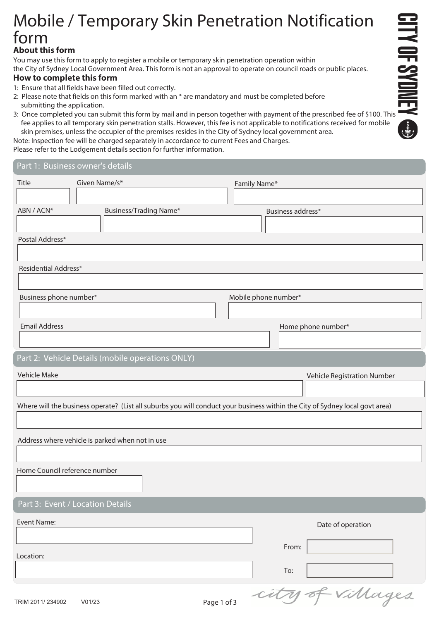## **About this form**  Mobile / Temporary Skin Penetration Notification<br> **form**<br> **3:** Once complete this form to apply to register a mobile or temporary skin penetration operation within<br>
How to complete this form<br>
How to complete this form<br> **3:** Mobile / Temporary Skin Penetration Notification form

You may use this form to apply to register a mobile or temporary skin penetration operation within the City of Sydney Local Government Area. This form is not an approval to operate on council roads or public places.

## **How to complete this form**

- 1: Ensure that all fields have been filled out correctly.
- 2: Please note that fields on this form marked with an \* are mandatory and must be completed before submitting the application.
- fee applies to all temporary skin penetration stalls. However, this fee is not applicable to notifications received for mobile skin premises, unless the occupier of the premises resides in the City of Sydney local government area.

Note: Inspection fee will be charged separately in accordance to current Fees and Charges.

Please refer to the Lodgement details section for further information.

Part 1: Business owner's details

| Title                         | Given Name/s*                                                                                                                | Family Name* |                             |
|-------------------------------|------------------------------------------------------------------------------------------------------------------------------|--------------|-----------------------------|
|                               |                                                                                                                              |              |                             |
| ABN / ACN*                    | <b>Business/Trading Name*</b>                                                                                                |              | Business address*           |
|                               |                                                                                                                              |              |                             |
| Postal Address*               |                                                                                                                              |              |                             |
|                               |                                                                                                                              |              |                             |
| Residential Address*          |                                                                                                                              |              |                             |
|                               |                                                                                                                              |              |                             |
| Business phone number*        |                                                                                                                              |              | Mobile phone number*        |
|                               |                                                                                                                              |              |                             |
| <b>Email Address</b>          |                                                                                                                              |              | Home phone number*          |
|                               |                                                                                                                              |              |                             |
|                               | Part 2: Vehicle Details (mobile operations ONLY)                                                                             |              |                             |
| Vehicle Make                  |                                                                                                                              |              | Vehicle Registration Number |
|                               |                                                                                                                              |              |                             |
|                               | Where will the business operate? (List all suburbs you will conduct your business within the City of Sydney local govt area) |              |                             |
|                               |                                                                                                                              |              |                             |
|                               |                                                                                                                              |              |                             |
|                               | Address where vehicle is parked when not in use                                                                              |              |                             |
| Home Council reference number |                                                                                                                              |              |                             |
|                               |                                                                                                                              |              |                             |
|                               |                                                                                                                              |              |                             |
|                               | Part 3: Event / Location Details                                                                                             |              |                             |
| Event Name:                   |                                                                                                                              |              | Date of operation           |
|                               |                                                                                                                              |              |                             |
| Location:                     |                                                                                                                              |              | From:                       |
|                               |                                                                                                                              |              | To:                         |
|                               |                                                                                                                              |              |                             |
| TRIM 2011/234902              | V01/23                                                                                                                       | Page 1 of 3  | -Villages                   |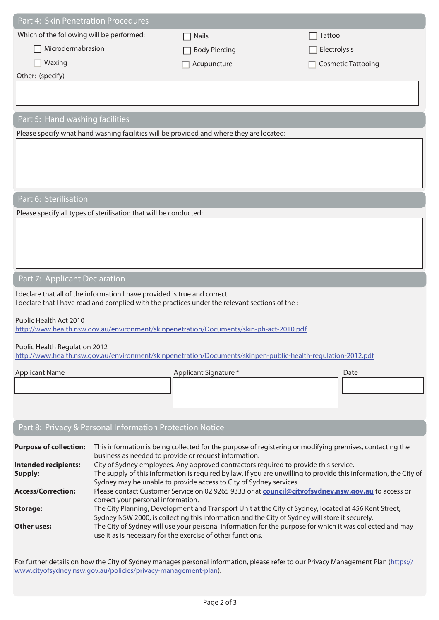| Part 4: Skin Penetration Procedures                                                                               |                                                                                                                                                                          |                                                                                                                  |               |                           |
|-------------------------------------------------------------------------------------------------------------------|--------------------------------------------------------------------------------------------------------------------------------------------------------------------------|------------------------------------------------------------------------------------------------------------------|---------------|---------------------------|
| Which of the following will be performed:                                                                         |                                                                                                                                                                          | <b>Nails</b>                                                                                                     | <b>Tattoo</b> |                           |
| Microdermabrasion                                                                                                 |                                                                                                                                                                          | <b>Body Piercing</b>                                                                                             | Electrolysis  |                           |
| Waxing                                                                                                            |                                                                                                                                                                          | Acupuncture                                                                                                      |               | <b>Cosmetic Tattooing</b> |
| Other: (specify)                                                                                                  |                                                                                                                                                                          |                                                                                                                  |               |                           |
|                                                                                                                   |                                                                                                                                                                          |                                                                                                                  |               |                           |
|                                                                                                                   |                                                                                                                                                                          |                                                                                                                  |               |                           |
| Part 5: Hand washing facilities                                                                                   |                                                                                                                                                                          |                                                                                                                  |               |                           |
|                                                                                                                   |                                                                                                                                                                          | Please specify what hand washing facilities will be provided and where they are located:                         |               |                           |
|                                                                                                                   |                                                                                                                                                                          |                                                                                                                  |               |                           |
|                                                                                                                   |                                                                                                                                                                          |                                                                                                                  |               |                           |
|                                                                                                                   |                                                                                                                                                                          |                                                                                                                  |               |                           |
|                                                                                                                   |                                                                                                                                                                          |                                                                                                                  |               |                           |
| Part 6: Sterilisation                                                                                             |                                                                                                                                                                          |                                                                                                                  |               |                           |
|                                                                                                                   | Please specify all types of sterilisation that will be conducted:                                                                                                        |                                                                                                                  |               |                           |
|                                                                                                                   |                                                                                                                                                                          |                                                                                                                  |               |                           |
|                                                                                                                   |                                                                                                                                                                          |                                                                                                                  |               |                           |
|                                                                                                                   |                                                                                                                                                                          |                                                                                                                  |               |                           |
|                                                                                                                   |                                                                                                                                                                          |                                                                                                                  |               |                           |
| Part 7: Applicant Declaration                                                                                     |                                                                                                                                                                          |                                                                                                                  |               |                           |
|                                                                                                                   | I declare that all of the information I have provided is true and correct.                                                                                               | I declare that I have read and complied with the practices under the relevant sections of the :                  |               |                           |
|                                                                                                                   |                                                                                                                                                                          |                                                                                                                  |               |                           |
| Public Health Act 2010<br>http://www.health.nsw.gov.au/environment/skinpenetration/Documents/skin-ph-act-2010.pdf |                                                                                                                                                                          |                                                                                                                  |               |                           |
|                                                                                                                   |                                                                                                                                                                          |                                                                                                                  |               |                           |
| Public Health Regulation 2012                                                                                     |                                                                                                                                                                          | http://www.health.nsw.gov.au/environment/skinpenetration/Documents/skinpen-public-health-regulation-2012.pdf     |               |                           |
| <b>Applicant Name</b>                                                                                             |                                                                                                                                                                          | Applicant Signature *                                                                                            |               | Date                      |
|                                                                                                                   |                                                                                                                                                                          |                                                                                                                  |               |                           |
|                                                                                                                   |                                                                                                                                                                          |                                                                                                                  |               |                           |
|                                                                                                                   |                                                                                                                                                                          |                                                                                                                  |               |                           |
|                                                                                                                   | Part 8: Privacy & Personal Information Protection Notice                                                                                                                 |                                                                                                                  |               |                           |
|                                                                                                                   |                                                                                                                                                                          |                                                                                                                  |               |                           |
| <b>Purpose of collection:</b>                                                                                     | business as needed to provide or request information.                                                                                                                    | This information is being collected for the purpose of registering or modifying premises, contacting the         |               |                           |
| <b>Intended recipients:</b>                                                                                       |                                                                                                                                                                          | City of Sydney employees. Any approved contractors required to provide this service.                             |               |                           |
| <b>Supply:</b>                                                                                                    |                                                                                                                                                                          | The supply of this information is required by law. If you are unwilling to provide this information, the City of |               |                           |
| <b>Access/Correction:</b>                                                                                         | Sydney may be unable to provide access to City of Sydney services.<br>Please contact Customer Service on 02 9265 9333 or at council@cityofsydney.nsw.gov.au to access or |                                                                                                                  |               |                           |

| <b>Purpose of collection:</b> | This information is being collected for the purpose of registering or modifying premises, contacting the<br>business as needed to provide or request information.                                      |
|-------------------------------|--------------------------------------------------------------------------------------------------------------------------------------------------------------------------------------------------------|
| <b>Intended recipients:</b>   | City of Sydney employees. Any approved contractors required to provide this service.                                                                                                                   |
| Supply:                       | The supply of this information is required by law. If you are unwilling to provide this information, the City of                                                                                       |
|                               | Sydney may be unable to provide access to City of Sydney services.                                                                                                                                     |
| <b>Access/Correction:</b>     | Please contact Customer Service on 02 9265 9333 or at council@cityofsydney.nsw.gov.au to access or<br>correct your personal information.                                                               |
| Storage:                      | The City Planning, Development and Transport Unit at the City of Sydney, located at 456 Kent Street,<br>Sydney NSW 2000, is collecting this information and the City of Sydney will store it securely. |
| Other uses:                   | The City of Sydney will use your personal information for the purpose for which it was collected and may<br>use it as is necessary for the exercise of other functions.                                |

For further details on how the City of Sydney manages personal information, please refer to our Privacy Management Plan (https:// www.cityofsydney.nsw.gov.au/policies/privacy-management-plan).